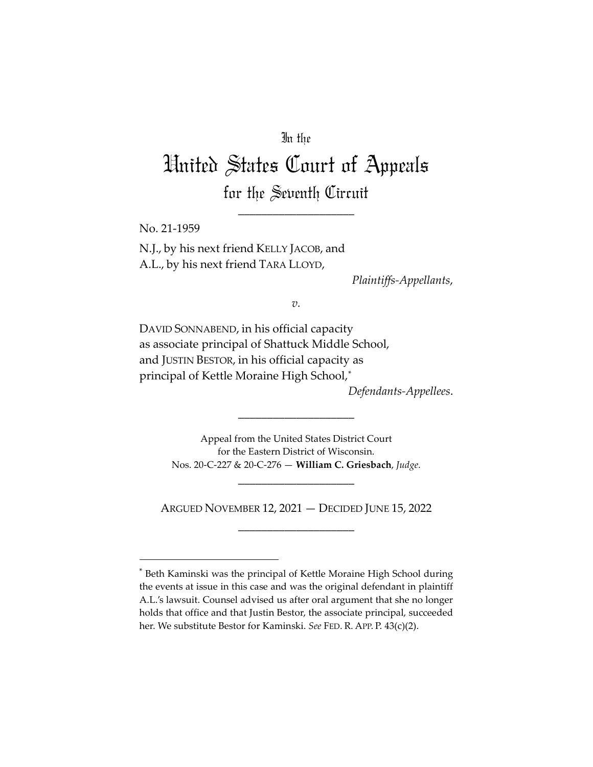## In the

# United States Court of Appeals for the Seventh Circuit

\_\_\_\_\_\_\_\_\_\_\_\_\_\_\_\_\_\_\_\_

No. 21-1959

N.J., by his next friend KELLY JACOB, and A.L., by his next friend TARA LLOYD,

*Plaintiffs-Appellants*,

*v.*

DAVID SONNABEND, in his official capacity as associate principal of Shattuck Middle School, and JUSTIN BESTOR, in his official capacity as principal of Kettle Moraine High School,[\\*](#page-0-0)

*Defendants-Appellees*.

Appeal from the United States District Court for the Eastern District of Wisconsin. Nos. 20-C-227 & 20-C-276 — **William C. Griesbach**, *Judge*.

\_\_\_\_\_\_\_\_\_\_\_\_\_\_\_\_\_\_\_\_

\_\_\_\_\_\_\_\_\_\_\_\_\_\_\_\_\_\_\_\_

ARGUED NOVEMBER 12, 2021 — DECIDED JUNE 15, 2022 \_\_\_\_\_\_\_\_\_\_\_\_\_\_\_\_\_\_\_\_

<span id="page-0-0"></span><sup>\*</sup> Beth Kaminski was the principal of Kettle Moraine High School during the events at issue in this case and was the original defendant in plaintiff A.L.'s lawsuit. Counsel advised us after oral argument that she no longer holds that office and that Justin Bestor, the associate principal, succeeded her. We substitute Bestor for Kaminski. *See* FED. R. APP. P. 43(c)(2).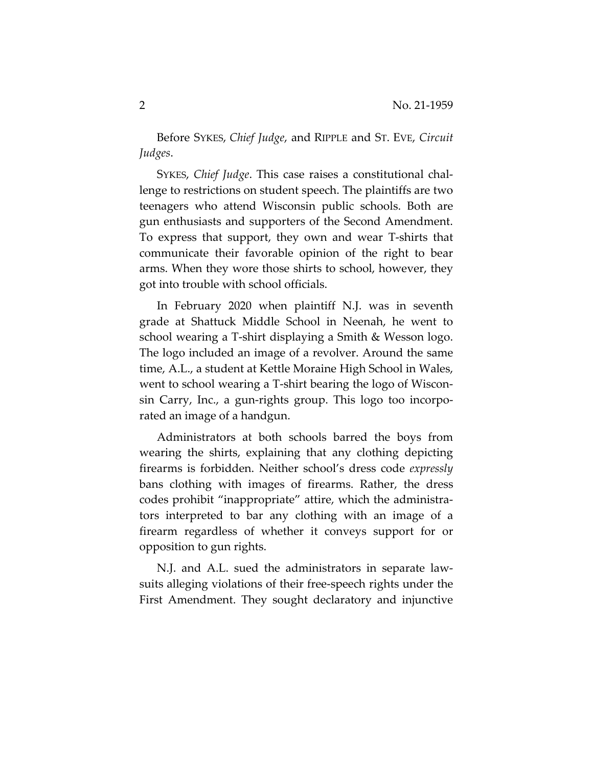Before SYKES, *Chief Judge*, and RIPPLE and ST. EVE, *Circuit Judges*.

SYKES, *Chief Judge*. This case raises a constitutional challenge to restrictions on student speech. The plaintiffs are two teenagers who attend Wisconsin public schools. Both are gun enthusiasts and supporters of the Second Amendment. To express that support, they own and wear T-shirts that communicate their favorable opinion of the right to bear arms. When they wore those shirts to school, however, they got into trouble with school officials.

In February 2020 when plaintiff N.J. was in seventh grade at Shattuck Middle School in Neenah, he went to school wearing a T-shirt displaying a Smith & Wesson logo. The logo included an image of a revolver. Around the same time, A.L., a student at Kettle Moraine High School in Wales, went to school wearing a T-shirt bearing the logo of Wisconsin Carry, Inc., a gun-rights group. This logo too incorporated an image of a handgun.

Administrators at both schools barred the boys from wearing the shirts, explaining that any clothing depicting firearms is forbidden. Neither school's dress code *expressly* bans clothing with images of firearms. Rather, the dress codes prohibit "inappropriate" attire, which the administrators interpreted to bar any clothing with an image of a firearm regardless of whether it conveys support for or opposition to gun rights.

N.J. and A.L. sued the administrators in separate lawsuits alleging violations of their free-speech rights under the First Amendment. They sought declaratory and injunctive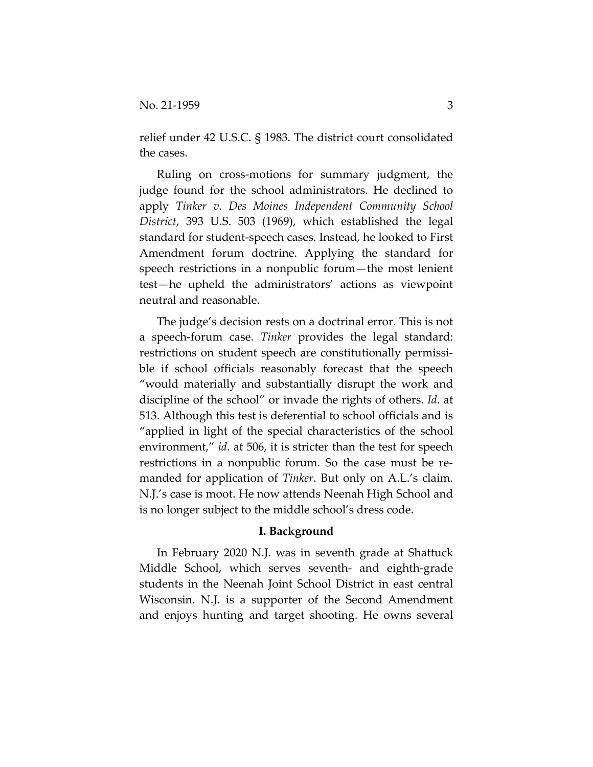relief under 42 U.S.C. § 1983. The district court consolidated the cases.

Ruling on cross-motions for summary judgment, the judge found for the school administrators. He declined to apply *Tinker v. Des Moines Independent Community School District*, 393 U.S. 503 (1969), which established the legal standard for student-speech cases. Instead, he looked to First Amendment forum doctrine. Applying the standard for speech restrictions in a nonpublic forum—the most lenient test—he upheld the administrators' actions as viewpoint neutral and reasonable.

The judge's decision rests on a doctrinal error. This is not a speech-forum case. *Tinker* provides the legal standard: restrictions on student speech are constitutionally permissible if school officials reasonably forecast that the speech "would materially and substantially disrupt the work and discipline of the school" or invade the rights of others. *Id.* at 513. Although this test is deferential to school officials and is "applied in light of the special characteristics of the school environment," *id.* at 506, it is stricter than the test for speech restrictions in a nonpublic forum. So the case must be remanded for application of *Tinker*. But only on A.L.'s claim. N.J.'s case is moot. He now attends Neenah High School and is no longer subject to the middle school's dress code.

#### **I. Background**

In February 2020 N.J. was in seventh grade at Shattuck Middle School, which serves seventh- and eighth-grade students in the Neenah Joint School District in east central Wisconsin. N.J. is a supporter of the Second Amendment and enjoys hunting and target shooting. He owns several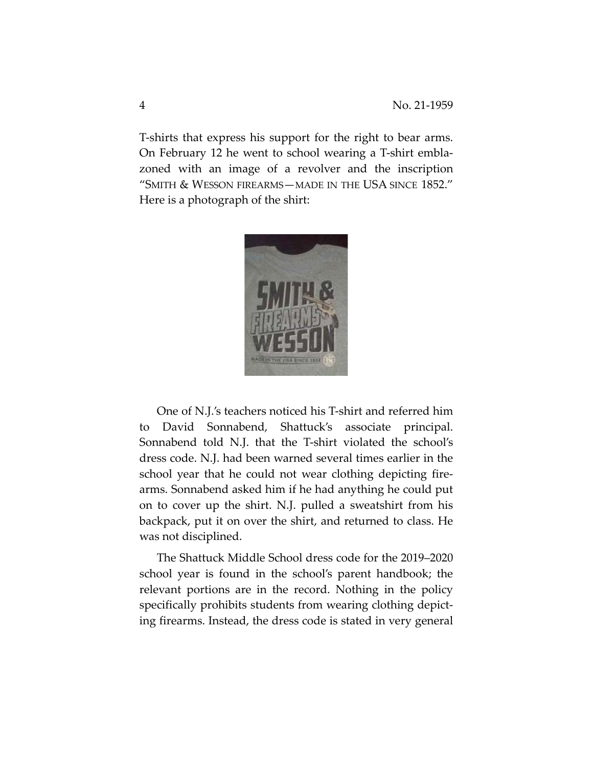T-shirts that express his support for the right to bear arms. On February 12 he went to school wearing a T-shirt emblazoned with an image of a revolver and the inscription "SMITH & WESSON FIREARMS—MADE IN THE USA SINCE 1852." Here is a photograph of the shirt:



One of N.J.'s teachers noticed his T-shirt and referred him to David Sonnabend, Shattuck's associate principal. Sonnabend told N.J. that the T-shirt violated the school's dress code. N.J. had been warned several times earlier in the school year that he could not wear clothing depicting firearms. Sonnabend asked him if he had anything he could put on to cover up the shirt. N.J. pulled a sweatshirt from his backpack, put it on over the shirt, and returned to class. He was not disciplined.

The Shattuck Middle School dress code for the 2019–2020 school year is found in the school's parent handbook; the relevant portions are in the record. Nothing in the policy specifically prohibits students from wearing clothing depicting firearms. Instead, the dress code is stated in very general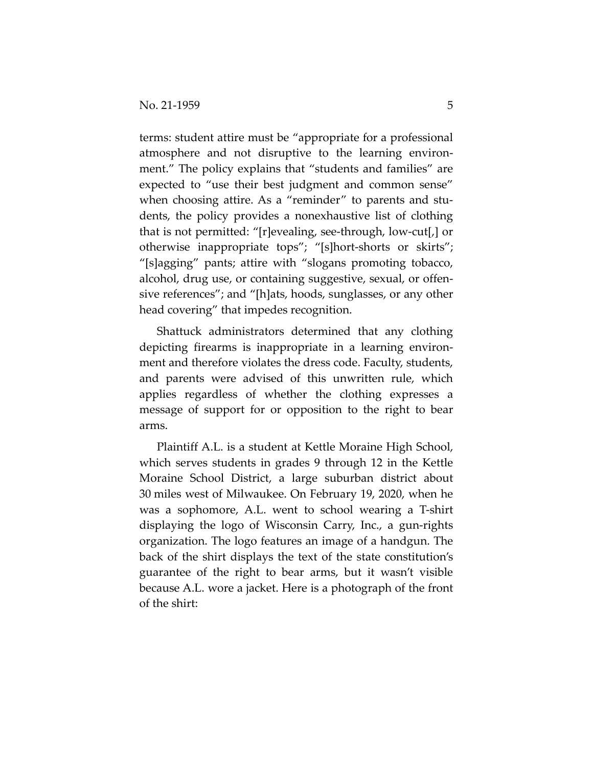terms: student attire must be "appropriate for a professional atmosphere and not disruptive to the learning environment." The policy explains that "students and families" are expected to "use their best judgment and common sense" when choosing attire. As a "reminder" to parents and students, the policy provides a nonexhaustive list of clothing that is not permitted: "[r]evealing, see-through, low-cut[,] or otherwise inappropriate tops"; "[s]hort-shorts or skirts"; "[s]agging" pants; attire with "slogans promoting tobacco, alcohol, drug use, or containing suggestive, sexual, or offensive references"; and "[h]ats, hoods, sunglasses, or any other head covering" that impedes recognition.

Shattuck administrators determined that any clothing depicting firearms is inappropriate in a learning environment and therefore violates the dress code. Faculty, students, and parents were advised of this unwritten rule, which applies regardless of whether the clothing expresses a message of support for or opposition to the right to bear arms.

Plaintiff A.L. is a student at Kettle Moraine High School, which serves students in grades 9 through 12 in the Kettle Moraine School District, a large suburban district about 30 miles west of Milwaukee. On February 19, 2020, when he was a sophomore, A.L. went to school wearing a T-shirt displaying the logo of Wisconsin Carry, Inc., a gun-rights organization. The logo features an image of a handgun. The back of the shirt displays the text of the state constitution's guarantee of the right to bear arms, but it wasn't visible because A.L. wore a jacket. Here is a photograph of the front of the shirt: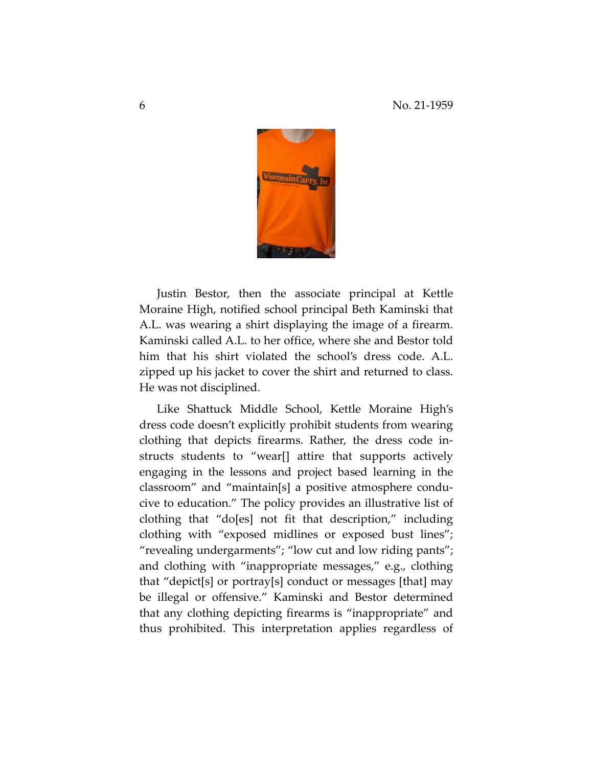

Justin Bestor, then the associate principal at Kettle Moraine High, notified school principal Beth Kaminski that A.L. was wearing a shirt displaying the image of a firearm. Kaminski called A.L. to her office, where she and Bestor told him that his shirt violated the school's dress code. A.L. zipped up his jacket to cover the shirt and returned to class. He was not disciplined.

Like Shattuck Middle School, Kettle Moraine High's dress code doesn't explicitly prohibit students from wearing clothing that depicts firearms. Rather, the dress code instructs students to "wear[] attire that supports actively engaging in the lessons and project based learning in the classroom" and "maintain[s] a positive atmosphere conducive to education." The policy provides an illustrative list of clothing that "do[es] not fit that description," including clothing with "exposed midlines or exposed bust lines"; "revealing undergarments"; "low cut and low riding pants"; and clothing with "inappropriate messages," e.g., clothing that "depict[s] or portray[s] conduct or messages [that] may be illegal or offensive." Kaminski and Bestor determined that any clothing depicting firearms is "inappropriate" and thus prohibited. This interpretation applies regardless of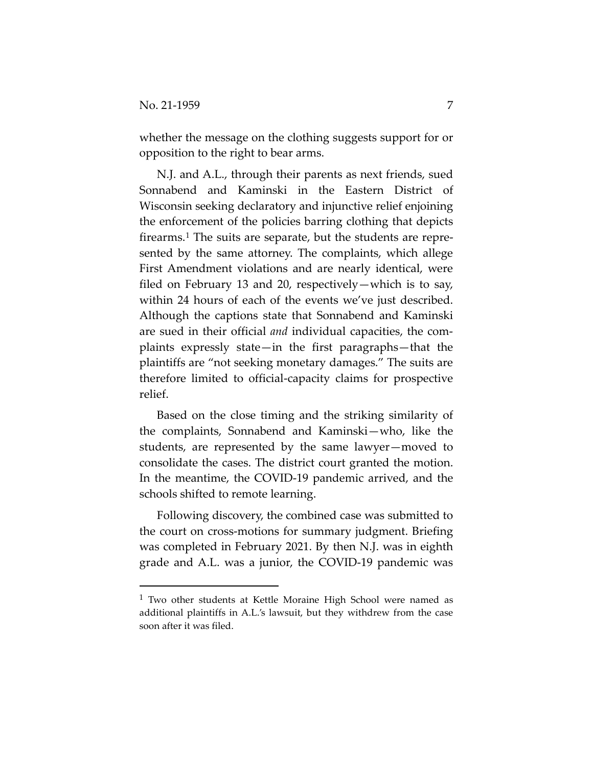whether the message on the clothing suggests support for or opposition to the right to bear arms.

N.J. and A.L., through their parents as next friends, sued Sonnabend and Kaminski in the Eastern District of Wisconsin seeking declaratory and injunctive relief enjoining the enforcement of the policies barring clothing that depicts firearms.<sup>1</sup> The suits are separate, but the students are represented by the same attorney. The complaints, which allege First Amendment violations and are nearly identical, were filed on February 13 and 20, respectively—which is to say, within 24 hours of each of the events we've just described. Although the captions state that Sonnabend and Kaminski are sued in their official *and* individual capacities, the complaints expressly state—in the first paragraphs—that the plaintiffs are "not seeking monetary damages." The suits are therefore limited to official-capacity claims for prospective relief.

Based on the close timing and the striking similarity of the complaints, Sonnabend and Kaminski—who, like the students, are represented by the same lawyer—moved to consolidate the cases. The district court granted the motion. In the meantime, the COVID-19 pandemic arrived, and the schools shifted to remote learning.

Following discovery, the combined case was submitted to the court on cross-motions for summary judgment. Briefing was completed in February 2021. By then N.J. was in eighth grade and A.L. was a junior, the COVID-19 pandemic was

<span id="page-6-0"></span><sup>&</sup>lt;sup>1</sup> Two other students at Kettle Moraine High School were named as additional plaintiffs in A.L.'s lawsuit, but they withdrew from the case soon after it was filed.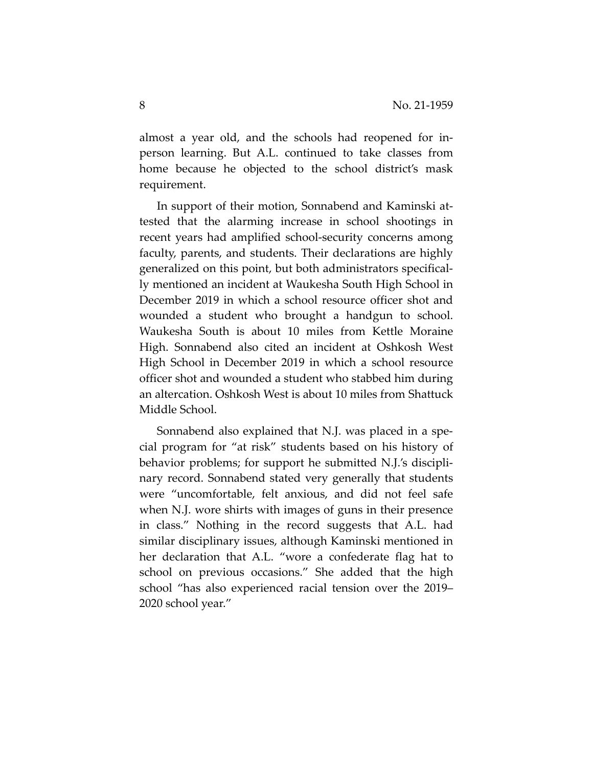almost a year old, and the schools had reopened for inperson learning. But A.L. continued to take classes from home because he objected to the school district's mask requirement.

In support of their motion, Sonnabend and Kaminski attested that the alarming increase in school shootings in recent years had amplified school-security concerns among faculty, parents, and students. Their declarations are highly generalized on this point, but both administrators specifically mentioned an incident at Waukesha South High School in December 2019 in which a school resource officer shot and wounded a student who brought a handgun to school. Waukesha South is about 10 miles from Kettle Moraine High. Sonnabend also cited an incident at Oshkosh West High School in December 2019 in which a school resource officer shot and wounded a student who stabbed him during an altercation. Oshkosh West is about 10 miles from Shattuck Middle School.

Sonnabend also explained that N.J. was placed in a special program for "at risk" students based on his history of behavior problems; for support he submitted N.J.'s disciplinary record. Sonnabend stated very generally that students were "uncomfortable, felt anxious, and did not feel safe when N.J. wore shirts with images of guns in their presence in class." Nothing in the record suggests that A.L. had similar disciplinary issues, although Kaminski mentioned in her declaration that A.L. "wore a confederate flag hat to school on previous occasions." She added that the high school "has also experienced racial tension over the 2019– 2020 school year."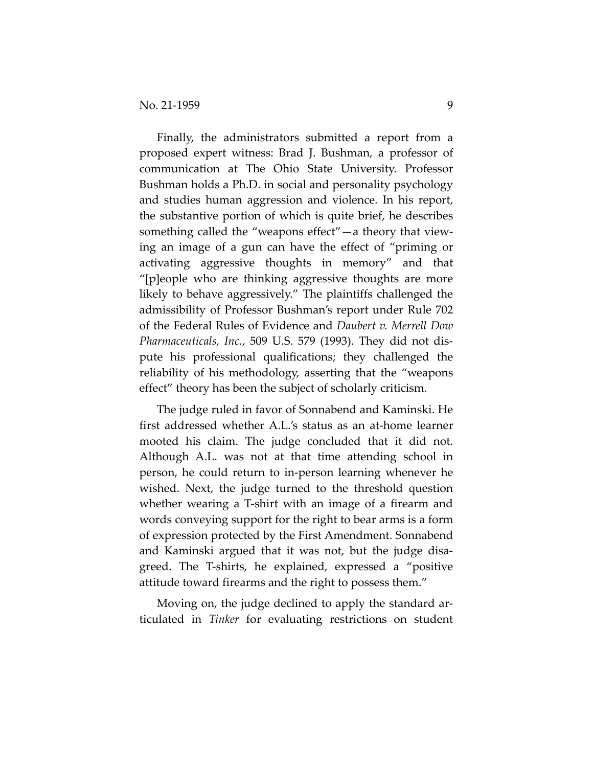Finally, the administrators submitted a report from a proposed expert witness: Brad J. Bushman, a professor of communication at The Ohio State University. Professor Bushman holds a Ph.D. in social and personality psychology and studies human aggression and violence. In his report, the substantive portion of which is quite brief, he describes something called the "weapons effect"—a theory that viewing an image of a gun can have the effect of "priming or activating aggressive thoughts in memory" and that "[p]eople who are thinking aggressive thoughts are more likely to behave aggressively." The plaintiffs challenged the admissibility of Professor Bushman's report under Rule 702 of the Federal Rules of Evidence and *Daubert v. Merrell Dow Pharmaceuticals, Inc.*, 509 U.S. 579 (1993). They did not dispute his professional qualifications; they challenged the reliability of his methodology, asserting that the "weapons effect" theory has been the subject of scholarly criticism.

The judge ruled in favor of Sonnabend and Kaminski. He first addressed whether A.L.'s status as an at-home learner mooted his claim. The judge concluded that it did not. Although A.L. was not at that time attending school in person, he could return to in-person learning whenever he wished. Next, the judge turned to the threshold question whether wearing a T-shirt with an image of a firearm and words conveying support for the right to bear arms is a form of expression protected by the First Amendment. Sonnabend and Kaminski argued that it was not, but the judge disagreed. The T-shirts, he explained, expressed a "positive attitude toward firearms and the right to possess them."

Moving on, the judge declined to apply the standard articulated in *Tinker* for evaluating restrictions on student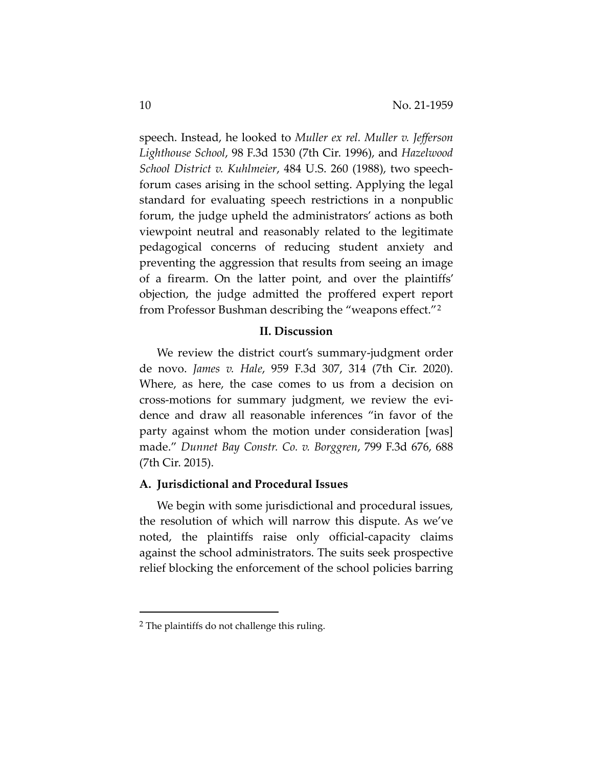speech. Instead, he looked to *Muller ex rel. Muller v. Jefferson Lighthouse School*, 98 F.3d 1530 (7th Cir. 1996), and *Hazelwood School District v. Kuhlmeier*, 484 U.S. 260 (1988), two speechforum cases arising in the school setting. Applying the legal standard for evaluating speech restrictions in a nonpublic forum, the judge upheld the administrators' actions as both viewpoint neutral and reasonably related to the legitimate pedagogical concerns of reducing student anxiety and preventing the aggression that results from seeing an image of a firearm. On the latter point, and over the plaintiffs' objection, the judge admitted the proffered expert report from Professor Bushman describing the "weapons effect."[2](#page-9-0) 

### **II. Discussion**

We review the district court's summary-judgment order de novo. *James v. Hale*, 959 F.3d 307, 314 (7th Cir. 2020). Where, as here, the case comes to us from a decision on cross-motions for summary judgment, we review the evidence and draw all reasonable inferences "in favor of the party against whom the motion under consideration [was] made." *Dunnet Bay Constr. Co. v. Borggren*, 799 F.3d 676, 688 (7th Cir. 2015).

## **A. Jurisdictional and Procedural Issues**

We begin with some jurisdictional and procedural issues, the resolution of which will narrow this dispute. As we've noted, the plaintiffs raise only official-capacity claims against the school administrators. The suits seek prospective relief blocking the enforcement of the school policies barring

<span id="page-9-0"></span><sup>2</sup> The plaintiffs do not challenge this ruling.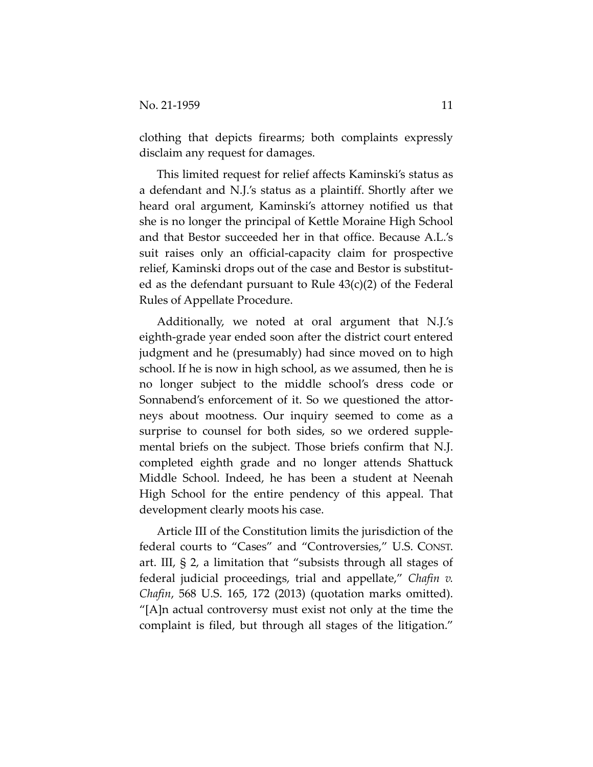clothing that depicts firearms; both complaints expressly disclaim any request for damages.

This limited request for relief affects Kaminski's status as a defendant and N.J.'s status as a plaintiff. Shortly after we heard oral argument, Kaminski's attorney notified us that she is no longer the principal of Kettle Moraine High School and that Bestor succeeded her in that office. Because A.L.'s suit raises only an official-capacity claim for prospective relief, Kaminski drops out of the case and Bestor is substituted as the defendant pursuant to Rule 43(c)(2) of the Federal Rules of Appellate Procedure.

Additionally, we noted at oral argument that N.J.'s eighth-grade year ended soon after the district court entered judgment and he (presumably) had since moved on to high school. If he is now in high school, as we assumed, then he is no longer subject to the middle school's dress code or Sonnabend's enforcement of it. So we questioned the attorneys about mootness. Our inquiry seemed to come as a surprise to counsel for both sides, so we ordered supplemental briefs on the subject. Those briefs confirm that N.J. completed eighth grade and no longer attends Shattuck Middle School. Indeed, he has been a student at Neenah High School for the entire pendency of this appeal. That development clearly moots his case.

Article III of the Constitution limits the jurisdiction of the federal courts to "Cases" and "Controversies," U.S. CONST. art. III, § 2, a limitation that "subsists through all stages of federal judicial proceedings, trial and appellate," *Chafin v. Chafin*, 568 U.S. 165, 172 (2013) (quotation marks omitted). "[A]n actual controversy must exist not only at the time the complaint is filed, but through all stages of the litigation."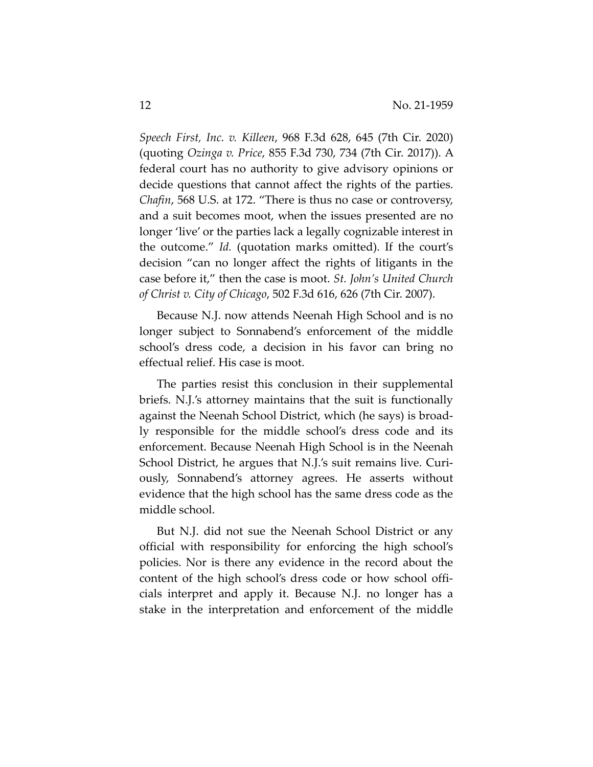*Speech First, Inc. v. Killeen*, 968 F.3d 628, 645 (7th Cir. 2020) (quoting *Ozinga v. Price*, 855 F.3d 730, 734 (7th Cir. 2017)). A federal court has no authority to give advisory opinions or decide questions that cannot affect the rights of the parties. *Chafin*, 568 U.S. at 172. "There is thus no case or controversy, and a suit becomes moot, when the issues presented are no longer 'live' or the parties lack a legally cognizable interest in the outcome." *Id.* (quotation marks omitted). If the court's decision "can no longer affect the rights of litigants in the case before it," then the case is moot. *St. John's United Church of Christ v. City of Chicago*, 502 F.3d 616, 626 (7th Cir. 2007).

Because N.J. now attends Neenah High School and is no longer subject to Sonnabend's enforcement of the middle school's dress code, a decision in his favor can bring no effectual relief. His case is moot.

The parties resist this conclusion in their supplemental briefs. N.J.'s attorney maintains that the suit is functionally against the Neenah School District, which (he says) is broadly responsible for the middle school's dress code and its enforcement. Because Neenah High School is in the Neenah School District, he argues that N.J.'s suit remains live. Curiously, Sonnabend's attorney agrees. He asserts without evidence that the high school has the same dress code as the middle school.

But N.J. did not sue the Neenah School District or any official with responsibility for enforcing the high school's policies. Nor is there any evidence in the record about the content of the high school's dress code or how school officials interpret and apply it. Because N.J. no longer has a stake in the interpretation and enforcement of the middle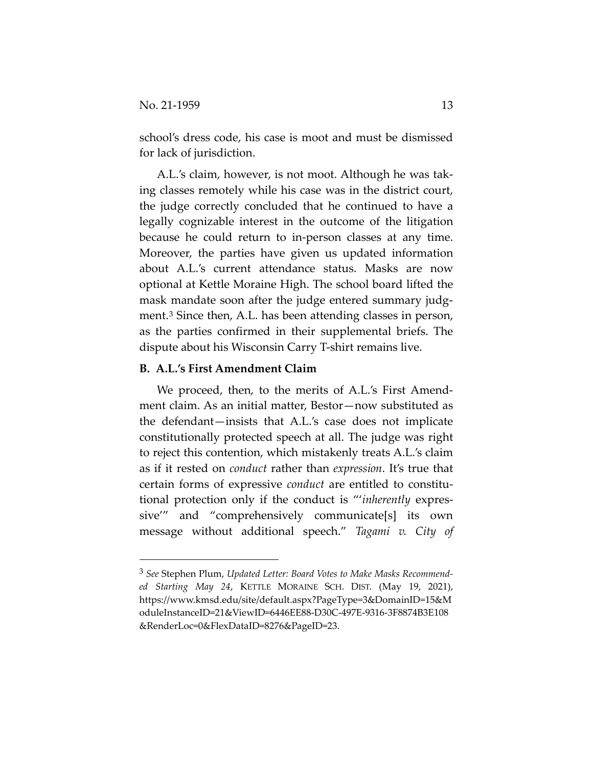school's dress code, his case is moot and must be dismissed for lack of jurisdiction.

A.L.'s claim, however, is not moot. Although he was taking classes remotely while his case was in the district court, the judge correctly concluded that he continued to have a legally cognizable interest in the outcome of the litigation because he could return to in-person classes at any time. Moreover, the parties have given us updated information about A.L.'s current attendance status. Masks are now optional at Kettle Moraine High. The school board lifted the mask mandate soon after the judge entered summary judgment.[3](#page-12-0) Since then, A.L. has been attending classes in person, as the parties confirmed in their supplemental briefs. The dispute about his Wisconsin Carry T-shirt remains live.

## **B. A.L.'s First Amendment Claim**

We proceed, then, to the merits of A.L.'s First Amendment claim. As an initial matter, Bestor—now substituted as the defendant—insists that A.L.'s case does not implicate constitutionally protected speech at all. The judge was right to reject this contention, which mistakenly treats A.L.'s claim as if it rested on *conduct* rather than *expression*. It's true that certain forms of expressive *conduct* are entitled to constitutional protection only if the conduct is "'*inherently* expressive'" and "comprehensively communicate[s] its own message without additional speech." *Tagami v. City of* 

<span id="page-12-0"></span><sup>3</sup> *See* Stephen Plum, *Updated Letter: Board Votes to Make Masks Recommended Starting May 24*, KETTLE MORAINE SCH. DIST. (May 19, 2021), https://www.kmsd.edu/site/default.aspx?PageType=3&DomainID=15&M oduleInstanceID=21&ViewID=6446EE88-D30C-497E-9316-3F8874B3E108 &RenderLoc=0&FlexDataID=8276&PageID=23.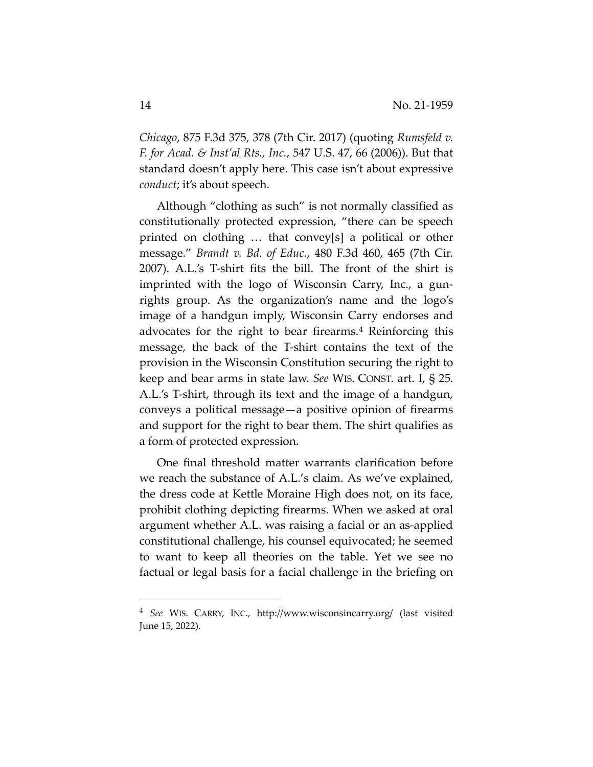*Chicago*, 875 F.3d 375, 378 (7th Cir. 2017) (quoting *Rumsfeld v. F. for Acad. & Inst'al Rts., Inc.*, 547 U.S. 47, 66 (2006)). But that standard doesn't apply here. This case isn't about expressive *conduct*; it's about speech.

Although "clothing as such" is not normally classified as constitutionally protected expression, "there can be speech printed on clothing … that convey[s] a political or other message." *Brandt v. Bd. of Educ.*, 480 F.3d 460, 465 (7th Cir. 2007). A.L.'s T-shirt fits the bill. The front of the shirt is imprinted with the logo of Wisconsin Carry, Inc., a gunrights group. As the organization's name and the logo's image of a handgun imply, Wisconsin Carry endorses and advocates for the right to bear firearms.<sup>[4](#page-13-0)</sup> Reinforcing this message, the back of the T-shirt contains the text of the provision in the Wisconsin Constitution securing the right to keep and bear arms in state law. *See* WIS. CONST. art. I, § 25. A.L.'s T-shirt, through its text and the image of a handgun, conveys a political message—a positive opinion of firearms and support for the right to bear them. The shirt qualifies as a form of protected expression.

One final threshold matter warrants clarification before we reach the substance of A.L.'s claim. As we've explained, the dress code at Kettle Moraine High does not, on its face, prohibit clothing depicting firearms. When we asked at oral argument whether A.L. was raising a facial or an as-applied constitutional challenge, his counsel equivocated; he seemed to want to keep all theories on the table. Yet we see no factual or legal basis for a facial challenge in the briefing on

<span id="page-13-0"></span><sup>4</sup> *See* WIS. CARRY, INC., http://www.wisconsincarry.org/ (last visited June 15, 2022).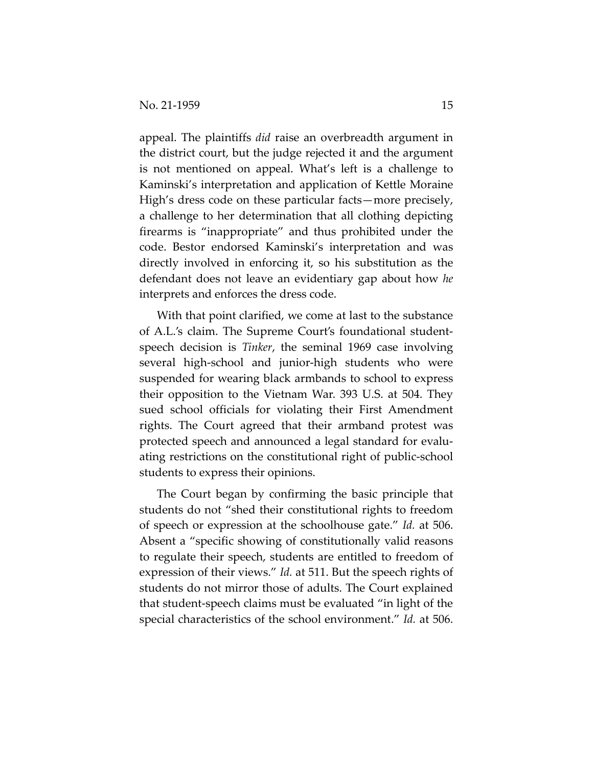appeal. The plaintiffs *did* raise an overbreadth argument in the district court, but the judge rejected it and the argument is not mentioned on appeal. What's left is a challenge to Kaminski's interpretation and application of Kettle Moraine High's dress code on these particular facts—more precisely, a challenge to her determination that all clothing depicting firearms is "inappropriate" and thus prohibited under the code. Bestor endorsed Kaminski's interpretation and was directly involved in enforcing it, so his substitution as the defendant does not leave an evidentiary gap about how *he* interprets and enforces the dress code.

With that point clarified, we come at last to the substance of A.L.'s claim. The Supreme Court's foundational studentspeech decision is *Tinker*, the seminal 1969 case involving several high-school and junior-high students who were suspended for wearing black armbands to school to express their opposition to the Vietnam War. 393 U.S. at 504. They sued school officials for violating their First Amendment rights. The Court agreed that their armband protest was protected speech and announced a legal standard for evaluating restrictions on the constitutional right of public-school students to express their opinions.

The Court began by confirming the basic principle that students do not "shed their constitutional rights to freedom of speech or expression at the schoolhouse gate." *Id.* at 506. Absent a "specific showing of constitutionally valid reasons to regulate their speech, students are entitled to freedom of expression of their views." *Id.* at 511. But the speech rights of students do not mirror those of adults. The Court explained that student-speech claims must be evaluated "in light of the special characteristics of the school environment." *Id.* at 506.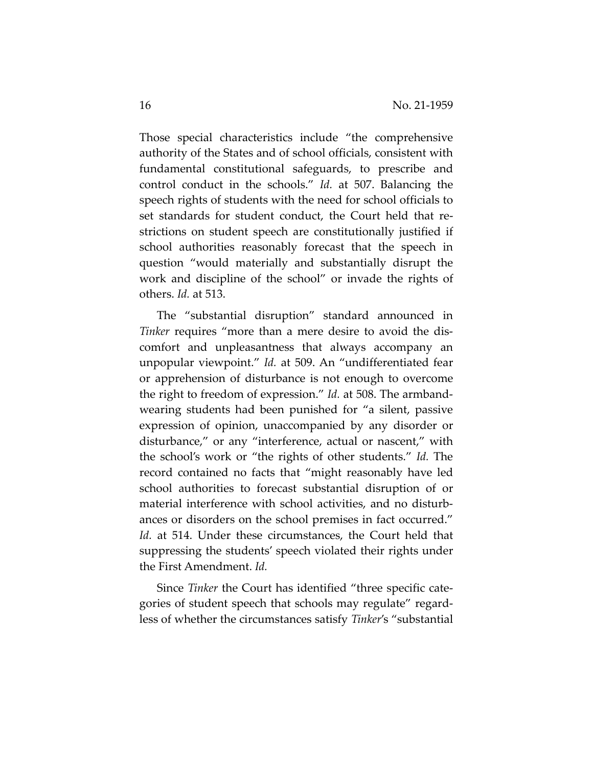Those special characteristics include "the comprehensive authority of the States and of school officials, consistent with fundamental constitutional safeguards, to prescribe and control conduct in the schools." *Id.* at 507. Balancing the speech rights of students with the need for school officials to set standards for student conduct, the Court held that restrictions on student speech are constitutionally justified if school authorities reasonably forecast that the speech in question "would materially and substantially disrupt the work and discipline of the school" or invade the rights of others. *Id.* at 513.

The "substantial disruption" standard announced in *Tinker* requires "more than a mere desire to avoid the discomfort and unpleasantness that always accompany an unpopular viewpoint." *Id.* at 509. An "undifferentiated fear or apprehension of disturbance is not enough to overcome the right to freedom of expression." *Id.* at 508. The armbandwearing students had been punished for "a silent, passive expression of opinion, unaccompanied by any disorder or disturbance," or any "interference, actual or nascent," with the school's work or "the rights of other students." *Id.* The record contained no facts that "might reasonably have led school authorities to forecast substantial disruption of or material interference with school activities, and no disturbances or disorders on the school premises in fact occurred." *Id.* at 514. Under these circumstances, the Court held that suppressing the students' speech violated their rights under the First Amendment. *Id.*

Since *Tinker* the Court has identified "three specific categories of student speech that schools may regulate" regardless of whether the circumstances satisfy *Tinker*'s "substantial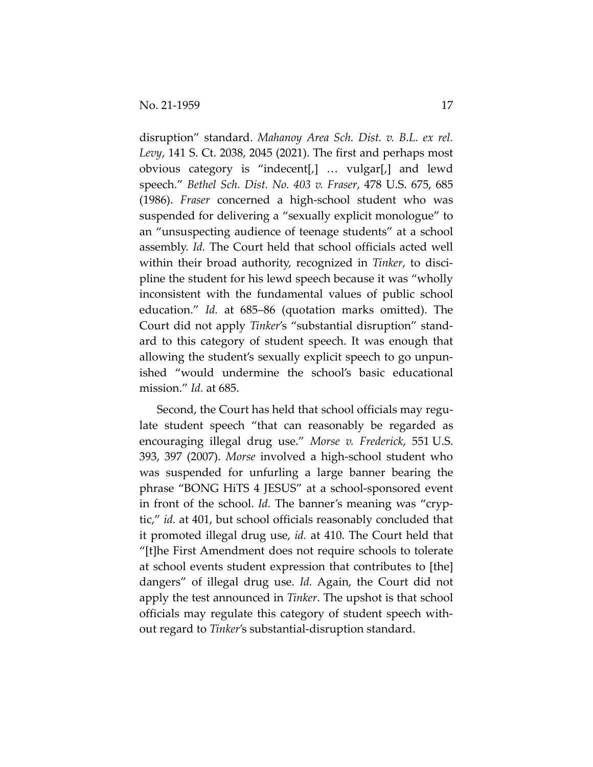disruption" standard. *Mahanoy Area Sch. Dist. v. B.L. ex rel. Levy*, 141 S. Ct. 2038, 2045 (2021). The first and perhaps most obvious category is "indecent[,] … vulgar[,] and lewd speech." *Bethel Sch. Dist. No. 403 v. Fraser*, 478 U.S. 675, 685 (1986). *Fraser* concerned a high-school student who was suspended for delivering a "sexually explicit monologue" to an "unsuspecting audience of teenage students" at a school assembly. *Id.* The Court held that school officials acted well within their broad authority, recognized in *Tinker*, to discipline the student for his lewd speech because it was "wholly inconsistent with the fundamental values of public school education." *Id.* at 685–86 (quotation marks omitted). The Court did not apply *Tinker*'s "substantial disruption" standard to this category of student speech. It was enough that allowing the student's sexually explicit speech to go unpunished "would undermine the school's basic educational mission." *Id.* at 685.

Second, the Court has held that school officials may regulate student speech "that can reasonably be regarded as encouraging illegal drug use." *Morse v. Frederick*, 551 U.S. 393, 397 (2007). *Morse* involved a high-school student who was suspended for unfurling a large banner bearing the phrase "BONG HiTS 4 JESUS" at a school-sponsored event in front of the school. *Id.* The banner's meaning was "cryptic," *id.* at 401, but school officials reasonably concluded that it promoted illegal drug use, *id.* at 410. The Court held that "[t]he First Amendment does not require schools to tolerate at school events student expression that contributes to [the] dangers" of illegal drug use. *Id.* Again, the Court did not apply the test announced in *Tinker*. The upshot is that school officials may regulate this category of student speech without regard to *Tinker*'s substantial-disruption standard.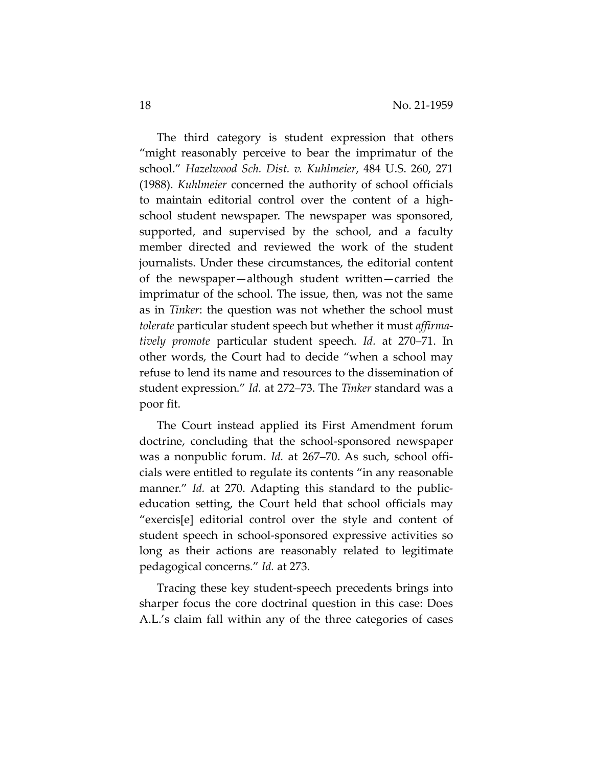The third category is student expression that others "might reasonably perceive to bear the imprimatur of the school." *Hazelwood Sch. Dist. v. Kuhlmeier*, 484 U.S. 260, 271 (1988). *Kuhlmeier* concerned the authority of school officials to maintain editorial control over the content of a highschool student newspaper. The newspaper was sponsored, supported, and supervised by the school, and a faculty member directed and reviewed the work of the student journalists. Under these circumstances, the editorial content of the newspaper—although student written—carried the imprimatur of the school. The issue, then, was not the same as in *Tinker*: the question was not whether the school must *tolerate* particular student speech but whether it must *affirmatively promote* particular student speech. *Id.* at 270–71. In other words, the Court had to decide "when a school may refuse to lend its name and resources to the dissemination of student expression." *Id.* at 272–73. The *Tinker* standard was a poor fit.

The Court instead applied its First Amendment forum doctrine, concluding that the school-sponsored newspaper was a nonpublic forum. *Id.* at 267–70. As such, school officials were entitled to regulate its contents "in any reasonable manner." *Id.* at 270. Adapting this standard to the publiceducation setting, the Court held that school officials may "exercis[e] editorial control over the style and content of student speech in school-sponsored expressive activities so long as their actions are reasonably related to legitimate pedagogical concerns." *Id.* at 273.

Tracing these key student-speech precedents brings into sharper focus the core doctrinal question in this case: Does A.L.'s claim fall within any of the three categories of cases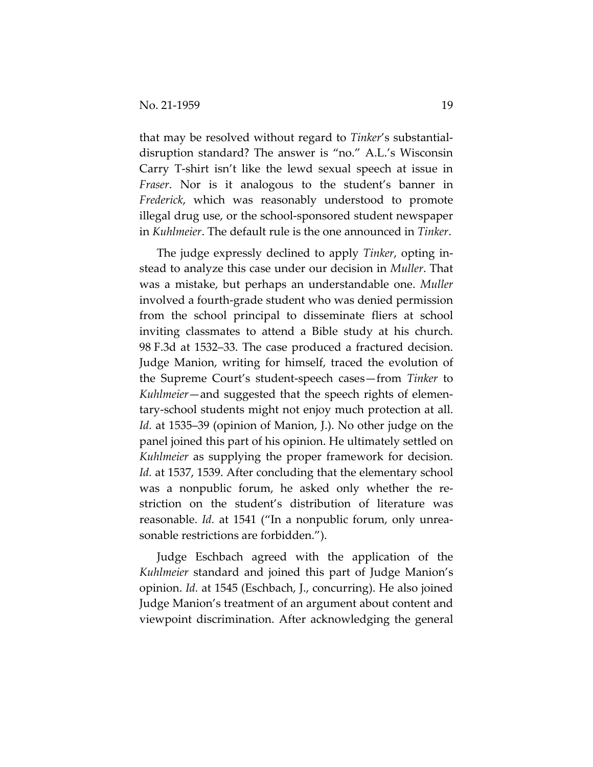that may be resolved without regard to *Tinker*'s substantialdisruption standard? The answer is "no." A.L.'s Wisconsin Carry T-shirt isn't like the lewd sexual speech at issue in *Fraser*. Nor is it analogous to the student's banner in *Frederick*, which was reasonably understood to promote illegal drug use, or the school-sponsored student newspaper in *Kuhlmeier*. The default rule is the one announced in *Tinker*.

The judge expressly declined to apply *Tinker*, opting instead to analyze this case under our decision in *Muller*. That was a mistake, but perhaps an understandable one. *Muller* involved a fourth-grade student who was denied permission from the school principal to disseminate fliers at school inviting classmates to attend a Bible study at his church. 98 F.3d at 1532–33. The case produced a fractured decision. Judge Manion, writing for himself, traced the evolution of the Supreme Court's student-speech cases—from *Tinker* to *Kuhlmeier*—and suggested that the speech rights of elementary-school students might not enjoy much protection at all. *Id.* at 1535–39 (opinion of Manion, J.). No other judge on the panel joined this part of his opinion. He ultimately settled on *Kuhlmeier* as supplying the proper framework for decision. *Id.* at 1537, 1539. After concluding that the elementary school was a nonpublic forum, he asked only whether the restriction on the student's distribution of literature was reasonable. *Id.* at 1541 ("In a nonpublic forum, only unreasonable restrictions are forbidden.").

Judge Eschbach agreed with the application of the *Kuhlmeier* standard and joined this part of Judge Manion's opinion. *Id.* at 1545 (Eschbach, J., concurring). He also joined Judge Manion's treatment of an argument about content and viewpoint discrimination. After acknowledging the general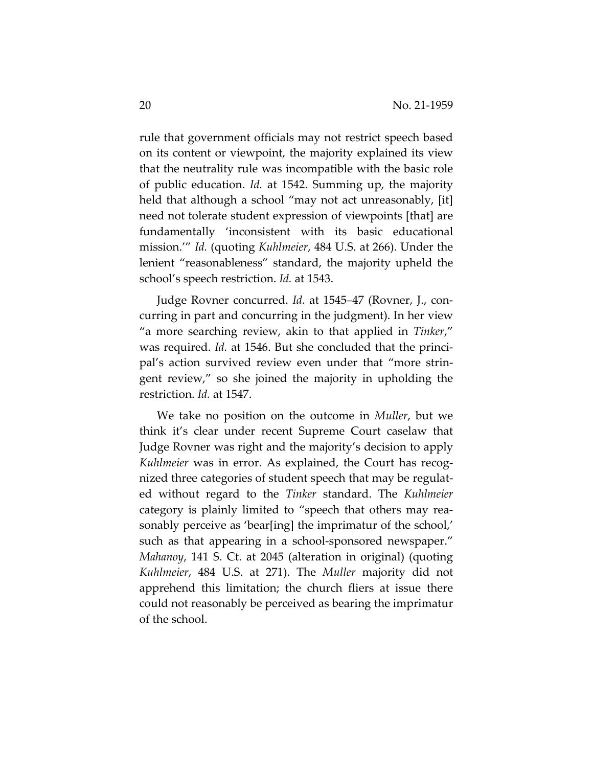rule that government officials may not restrict speech based on its content or viewpoint, the majority explained its view that the neutrality rule was incompatible with the basic role of public education. *Id.* at 1542. Summing up, the majority held that although a school "may not act unreasonably, [it] need not tolerate student expression of viewpoints [that] are fundamentally 'inconsistent with its basic educational mission.'" *Id.* (quoting *Kuhlmeier*, 484 U.S. at 266). Under the lenient "reasonableness" standard, the majority upheld the school's speech restriction. *Id.* at 1543.

Judge Rovner concurred. *Id.* at 1545–47 (Rovner, J., concurring in part and concurring in the judgment). In her view "a more searching review, akin to that applied in *Tinker*," was required. *Id.* at 1546. But she concluded that the principal's action survived review even under that "more stringent review," so she joined the majority in upholding the restriction. *Id.* at 1547.

We take no position on the outcome in *Muller*, but we think it's clear under recent Supreme Court caselaw that Judge Rovner was right and the majority's decision to apply *Kuhlmeier* was in error. As explained, the Court has recognized three categories of student speech that may be regulated without regard to the *Tinker* standard. The *Kuhlmeier*  category is plainly limited to "speech that others may reasonably perceive as 'bear[ing] the imprimatur of the school,' such as that appearing in a school-sponsored newspaper." *Mahanoy*, 141 S. Ct. at 2045 (alteration in original) (quoting *Kuhlmeier*, 484 U.S. at 271). The *Muller* majority did not apprehend this limitation; the church fliers at issue there could not reasonably be perceived as bearing the imprimatur of the school.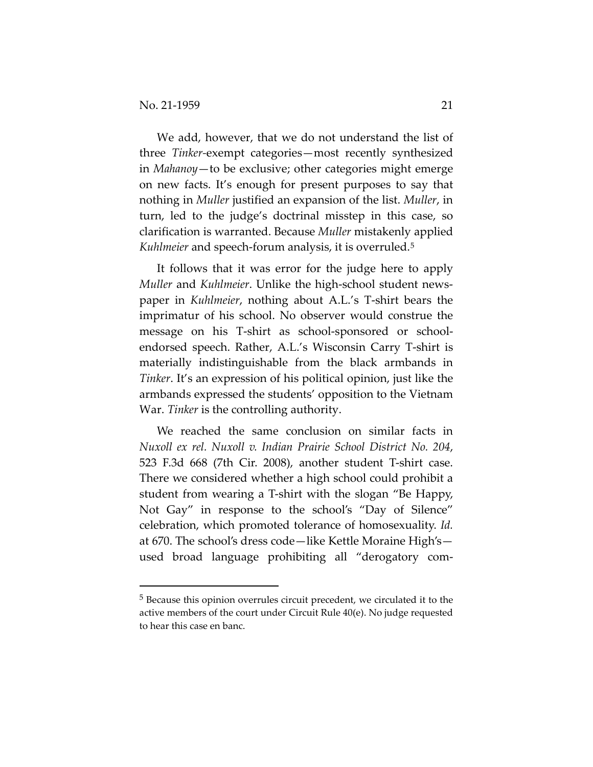We add, however, that we do not understand the list of three *Tinker-*exempt categories—most recently synthesized in *Mahanoy*—to be exclusive; other categories might emerge on new facts. It's enough for present purposes to say that nothing in *Muller* justified an expansion of the list. *Muller*, in turn, led to the judge's doctrinal misstep in this case, so clarification is warranted. Because *Muller* mistakenly applied *Kuhlmeier* and speech-forum analysis, it is overruled.[5](#page-20-0)

It follows that it was error for the judge here to apply *Muller* and *Kuhlmeier*. Unlike the high-school student newspaper in *Kuhlmeier*, nothing about A.L.'s T-shirt bears the imprimatur of his school. No observer would construe the message on his T-shirt as school-sponsored or schoolendorsed speech. Rather, A.L.'s Wisconsin Carry T-shirt is materially indistinguishable from the black armbands in *Tinker*. It's an expression of his political opinion, just like the armbands expressed the students' opposition to the Vietnam War. *Tinker* is the controlling authority.

We reached the same conclusion on similar facts in *Nuxoll ex rel. Nuxoll v. Indian Prairie School District No. 204*, 523 F.3d 668 (7th Cir. 2008), another student T-shirt case. There we considered whether a high school could prohibit a student from wearing a T-shirt with the slogan "Be Happy, Not Gay" in response to the school's "Day of Silence" celebration, which promoted tolerance of homosexuality. *Id.* at 670. The school's dress code—like Kettle Moraine High's used broad language prohibiting all "derogatory com-

<span id="page-20-0"></span><sup>5</sup> Because this opinion overrules circuit precedent, we circulated it to the active members of the court under Circuit Rule 40(e). No judge requested to hear this case en banc.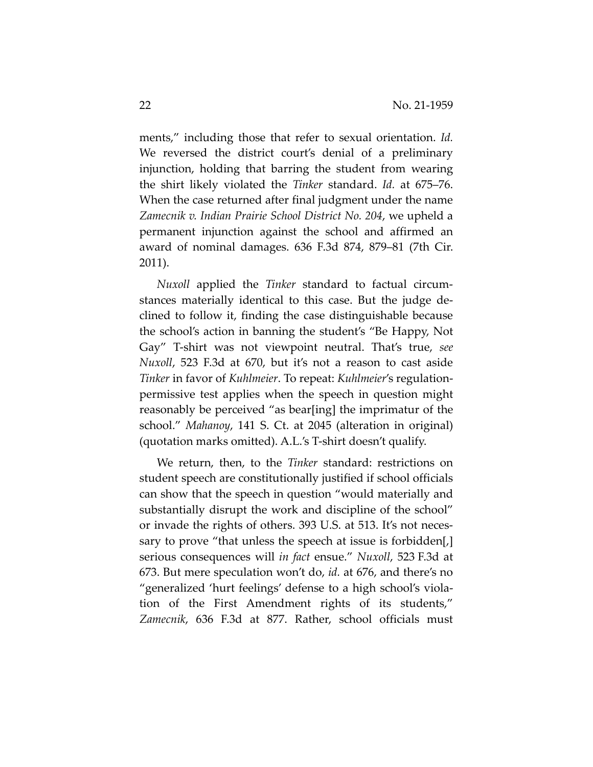ments," including those that refer to sexual orientation. *Id.* We reversed the district court's denial of a preliminary injunction, holding that barring the student from wearing the shirt likely violated the *Tinker* standard. *Id.* at 675–76. When the case returned after final judgment under the name *Zamecnik v. Indian Prairie School District No. 204*, we upheld a permanent injunction against the school and affirmed an award of nominal damages. 636 F.3d 874, 879–81 (7th Cir. 2011).

*Nuxoll* applied the *Tinker* standard to factual circumstances materially identical to this case. But the judge declined to follow it, finding the case distinguishable because the school's action in banning the student's "Be Happy, Not Gay" T-shirt was not viewpoint neutral. That's true, *see Nuxoll*, 523 F.3d at 670, but it's not a reason to cast aside *Tinker* in favor of *Kuhlmeier*. To repeat: *Kuhlmeier*'s regulationpermissive test applies when the speech in question might reasonably be perceived "as bear[ing] the imprimatur of the school." *Mahanoy*, 141 S. Ct. at 2045 (alteration in original) (quotation marks omitted). A.L.'s T-shirt doesn't qualify.

We return, then, to the *Tinker* standard: restrictions on student speech are constitutionally justified if school officials can show that the speech in question "would materially and substantially disrupt the work and discipline of the school" or invade the rights of others. 393 U.S. at 513. It's not necessary to prove "that unless the speech at issue is forbidden[,] serious consequences will *in fact* ensue." *Nuxoll*, 523 F.3d at 673. But mere speculation won't do, *id.* at 676, and there's no "generalized 'hurt feelings' defense to a high school's violation of the First Amendment rights of its students," *Zamecnik*, 636 F.3d at 877. Rather, school officials must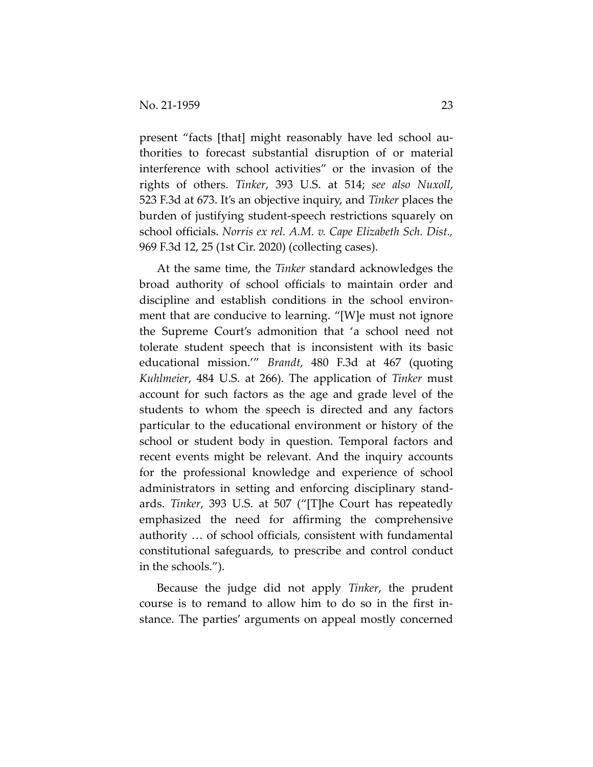present "facts [that] might reasonably have led school authorities to forecast substantial disruption of or material interference with school activities" or the invasion of the rights of others. *Tinker*, 393 U.S. at 514; *see also Nuxoll*, 523 F.3d at 673. It's an objective inquiry, and *Tinker* places the burden of justifying student-speech restrictions squarely on school officials. *Norris ex rel. A.M. v. Cape Elizabeth Sch. Dist.,*  969 F.3d 12, 25 (1st Cir. 2020) (collecting cases).

At the same time, the *Tinker* standard acknowledges the broad authority of school officials to maintain order and discipline and establish conditions in the school environment that are conducive to learning. "[W]e must not ignore the Supreme Court's admonition that 'a school need not tolerate student speech that is inconsistent with its basic educational mission.'" *Brandt*, 480 F.3d at 467 (quoting *Kuhlmeier*, 484 U.S. at 266). The application of *Tinker* must account for such factors as the age and grade level of the students to whom the speech is directed and any factors particular to the educational environment or history of the school or student body in question. Temporal factors and recent events might be relevant. And the inquiry accounts for the professional knowledge and experience of school administrators in setting and enforcing disciplinary standards. *Tinker*, 393 U.S. at 507 ("[T]he Court has repeatedly emphasized the need for affirming the comprehensive authority … of school officials, consistent with fundamental constitutional safeguards, to prescribe and control conduct in the schools.").

Because the judge did not apply *Tinker*, the prudent course is to remand to allow him to do so in the first instance. The parties' arguments on appeal mostly concerned